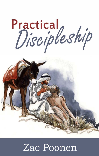Practical<br>Discipleship



# Zac Poonen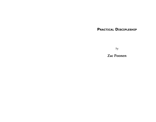# **Practical Discipleship**

*by*

**Zac Poonen**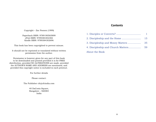# **Contents**

<span id="page-2-4"></span><span id="page-2-3"></span><span id="page-2-2"></span><span id="page-2-1"></span><span id="page-2-0"></span>

|                | 1  |
|----------------|----|
|                | 15 |
|                |    |
|                | 59 |
| About the Book |    |

Copyright – Zac Poonen (1999)

Paperback ISBN: 9789190565899 ePub ISBN: 9789384302382 Kindle ISBN: 9789384302696

This book has been copyrighted to prevent misuse.

It should not be reprinted or translated without written permission from the author.

Permission is however given for any part of this book to be downloaded and printed provided it is for FREE distribution, provided NO ALTERATIONS are made, provided the AUTHOR'S NAME AND ADDRESS are mentioned, and provided this copyright notice is included in each printout.

For further details

Please contact:

The Publisher cfc@cfcindia.com

40 DaCosta Square, Bangalore – 560084 India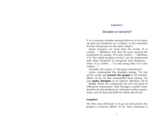#### <span id="page-3-0"></span>**[Chapter 1](#page-2-0)**

# **[Disciples or Converts?](#page-2-0)**

It is a common mistake among believers to be taken up with one Scripture on a subject, to the exclusion of other Scriptures on the same subject.

Satan tempted our Lord with the words "*It is written …*" (*Matthew 4:6*). But the Lord rejected the temptation by saying, "*It is also written …*" (*Matthew 4:7*). The whole purpose of God, can be understood only when Scripture is compared with Scripture – when "*It is written …*" is read along with "*It is also written …*".

Consider the matter of "*the great commission*".

Jesus commanded His disciples saying, "*Go into all the world and preach the gospel to all creation*" (*Mark 16:15*). He also commanded them saying, "*Go and make disciples of all nations*" (*Matthew 28:19* - NASB). These two commands are but two parts of ONE great commission. Only through a careful consideration of, and obedience to, both parts of this commission, can we find and fulfil the whole will of God.

#### **Evangelism**

The first step obviously is to go out and preach the gospel to everyone (*Mark 16:15*). This command is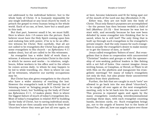not addressed to the individual believer, but to the whole body of Christ. It is humanly impossible for any single individual or any local church by itself, to preach the gospel to every human being in the whole world. Each of us can, at best, have but a small part in this task.

But that part, however small it be, we must fulfil. Here is where *Acts 1:8* comes into the picture. Each believer must have the Holy Spirit coming upon him and enduing him with power, if he is to be an effective witness for Christ. Note carefully, that all are not called to be evangelists (for Christ has given only some evangelists to His church – as *Ephesians 4:11* makes clear), but all are called to be His witnesses.

An evangelist has a wider field of work than a witness. A witness has to proclaim Christ in the circle in which he moves and works – to relatives, neighbours, fellow workers in his office and to the others he comes across daily, to whom he may happen to be led to while travelling, etc. Here is where we can all be witnesses, whatever our earthly occupations may be.

But Christ has also given evangelists to the church who have a wider ministry of reaching the lost. However the evangelist's task is *NOT* merely that of 'winning souls' or 'bringing people to Christ' (as we commonly hear), but 'building up the body of Christ' (as *Ephesians 4:11, 12* makes plain). Here is where the biggest failure of much of today's evangelism lies. Most of today's evangelism is related *NOT* to building up the body of Christ, but to saving individual souls. These souls are then usually sent back to their dead 'churches' where they soon get lost all over again, or at best, become lukewarm and fit for being spat out of the mouth of the Lord one day (*Revelation 3:16*).

Either way, they are not built into the body of Christ. Thus only Satan's purposes are accomplished – for the person has then become twofold a child of hell (*Matthew 23:15*) – first because he was lost to start with, and secondly because he has now been deluded by some evangelist into thinking that he is saved, when he is still lost!! The only thing that is built up through such evangelism is the evangelist's private empire. And the only reason for such evangelism is usually the evangelist's desire to make money or to get the honour of men, or both!!

Jesus called evangelists 'fishers of men'. But evangelism that is done in cooperation with unconverted "Christian" leaders and groups or with the sponsorship of vote-seeking political leaders is like fishing with a net full of holes. One cannot imagine Jesus inviting Annas, or Caiaphas, or Herod, or Pilate to sit with Him on the platform and inaugurate his evangelistic meetings! Yet many of today's evangelists not only do that, but also praise these unconverted leaders from their platforms.

Further, the fish that are caught in such "nets" are allowed to go back into the sea (dead "churches"), to be caught all over again at the next evangelistic meeting, only to be let back into the sea once more!! This process is repeated again and again by the many evangelists conducting interdenominational meetings these days, with each evangelist counting hands, decision cards, etc. Such evangelism brings joy, not to the angels of heaven but to the hosts of Satan! For, after all, how can angels rejoice over those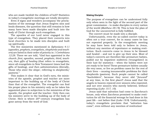who are made twofold the children of hell? Statistics in today's evangelistic meetings are totally deceptive.

Even if signs and wonders accompany the proclamation of the message that Jesus forgives sins and heals diseases, the question that still remains is how many have been made disciples and built into the body of Christ through such evangelism.

The apostles of our Lord never engaged in this type of evangelism. They placed their converts into local churches to be made into disciples and built up spiritually.

The five ministries mentioned in *Ephesians 4:11* (*apostles, prophets, evangelists, shepherds and teachers*) are listed in their order of priority in *1 Corinthians 12:28*. There we are told, "*God has appointed in the church: first, apostles, second, prophets, third, teachers, then gifts of healing* (that refers to evangelists, since all evangelists in New Testament times had the gifts of healing), *and then administrations* (literally, 'those who steer the ships', referring to shepherds/ pastors)."

This makes it clear that in God's eyes, the ministries of the apostle, prophet and teacher are more important to the building up of the body of Christ than that of the evangelist. The evangelist can find his proper place in his ministry only as he takes his appointed place in subjection to the ministries of the apostle, the prophet and the teacher. Only then can his ministry serve to the building up of the body of Christ. Here is where  $20<sup>th</sup>$ -century evangelism has gone astray from the word of God.

# **Making Disciples**

The purpose of evangelism can be understood fully only when seen in the light of the second part of the great commission – to make disciples in every nation of the world (*Matthew 28:19*). This is how the plan of God for the unconverted is fully fulfilled.

The convert must be made into a disciple.

Unfortunately, even the so-called convert today is often not a true convert, for in many cases he has not repented properly. In the evangelistic meeting he may have been told only to believe in Jesus, without any mention of repentance or making restitution. Such converts come to Jesus to be blessed and healed – and not to give up their sins. Most of today's converts are therefore like premature babies, pulled out by impatient midwives ('evangelists') in their lust for statistics – when the babies were not yet ready to be born! These premature babies usually die very soon, or live as problem cases for the rest of their lives – causing innumerable problems for their shepherds (pastors). Such people cannot be called "*backsliders*", because they never slid "*forward*" at any time, in the first place!! Jesus said that the angels in heaven rejoiced over sinners who repented, and not over sinners who merely believed, without repenting (*Luke 15:7, 10*).

Jesus said that salvation had come to Zaccheus's house, only when Zaccheus promised to make restitution for all the financial wrongs he had done in his past life – not before that (*Luke 19:9*). Unfortunately, today's evangelists proclaim that "salvation has come", even without any mention of restitution!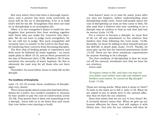But even where there has been a thorough repentance, and a person has been truly converted, he must still be led on to discipleship, if he is to fulfil God's will for his life. Evangelism that does not lead on to discipleship is an incomplete job.

Often, it is the evangelist's desire to build his own kingdom that prevents him from working together with those who can make his 'converts' into disciples. We do not have to judge such evangelists, for we are told not to judge. But such evangelists will certainly have to answer to the Lord in the final day, for hindering their converts from becoming disciples.

The first step of leading people to repentance and faith must be followed by water baptism – as Jesus made plain in *Mark 16:16*, and as Peter preached on the day of Pentecost (*Acts 2:38*). *Matthew 28:19* also mentions the necessity of water baptism. So this is obviously the next step for all those who are born again.

Thereafter, he must follow Jesus in daily life as His disciple.

#### **The Conditions of Discipleship**

*Luke 14: 25–35* reveals these conditions of discipleship very clearly.

There Jesus spoke about a man who had laid a foundation for a tower, but couldn't complete it, because he was unable to pay the cost of construction (*verse 28–30*). That proves that it does cost something to be a disciple. Jesus told us to sit down first and count that cost before even starting to build.

God doesn't want us to wait for many years after our sins are forgiven, before understanding what discipleship really costs. Jesus told people about the cost of discipleship as soon as they came to Him. He also said that a believer who was unwilling to be a disciple was as useless to God as salt that had lost its savour (*Luke 14:35*).

For a convert to become a disciple, he must first of all cut off any attachment to his relatives that hinders him from following the Lord (*Luke 14:26*). Secondly, he must be willing to deny himself and put his Self-life to death daily (*Luke 14:27*). Thirdly, he must give up his love for material possessions (*Luke 14:33*). These are the three minimum requirements for anyone wanting to be a disciple.

The *first* condition of discipleship is that we must cut off the natural, inordinate love that we have for our relatives.

Jesus said

*"If anyone comes to Me, and does not hate his own father and mother and wife and children and brothers and sisters, he cannot be My disciple"*  (Luke 14:26)*.*

Those are strong words. What does it mean to '*hate*'? To hate is the same as to *kill* (*1 John 3:15*). What we are asked to put to death here is the natural affection that we have for our relatives.

Does that mean that we are not to love them? No. It certainly doesn't mean that. When we give up our human affection for them, God will replace it with Divine love. Our love for our relatives will then be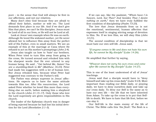pure – in the sense that God will always be first in our affections, and not our relatives.

Many don't obey God because they are afraid to offend their father, mother or wife etc. The Lord demands first place in our life. And if we don't give Him that place, we can't be His disciples. Jesus must be Lord of all in our lives, or He will not be Lord at all.

Look at Jesus' own example when He was on earth. Although He loved His widowed mother, yet He never allowed her to influence Him away from the perfect will of His Father, even in small matters. We see an example of this at the marriage at Cana where He refused to act on His mother's promptings (*John 2:4*).

Jesus also taught us how to '*hate*' our brothers. When Peter tried to turn Him away from going to the cross, He turned around and rebuked him with the sharpest words that He ever uttered to any human being. He said , "*Get behind Me, Satan! You are a stumbling-block to Me*" (*Matthew 16:23*). Peter had made his suggestion with a lot of human love. But Jesus rebuked him, because what Peter had suggested was contrary to the Father's will.

The Father was always supreme in Jesus' affections. He expects us to have the same attitude towards Him too. After His resurrection, the Lord asked Peter whether he loved Him more than everything else on earth, before making him a shepherd in the church (*John 21:15–17*). Only those who love the Lord supremely are given responsibilities in His church.

The leader of the Ephesian church was in danger of being rejected because he had lost his initial devotion for the Lord (*Revelation 2:1–5*).

If we can say, like the psalmist, "*Whom have I in heaven, Lord, but Thee? And besides Thee I desire nothing on earth*," then we have truly fulfilled the first condition of discipleship (*Psalm 73:25*).

The love that Jesus demands from us is not the emotional, sentimental, human affection that expresses itself in singing stirring songs of devotion to Him. No. If we love Him, we will obey Him (*John 14:21*).

The *second* condition of discipleship is that we must hate our own self-life. Jesus said,

*"If anyone comes to Me and does not hate his own life, he cannot be My disciple"* (Luke 14:26)*.*

He amplified that further by saying,

*"Whoever does not carry his own cross and come after Me cannot be My disciple"* (Luke 14:27)*.*

This is one of the least understood of all of Jesus' teachings.

Jesus said that a disciple would have to "deny himself and take up his cross daily" (*Luke 9:23*). More important than reading our Bible daily, or praying daily, we have to deny ourselves daily and take up our cross daily. To deny our Self is the same as to hate our own life – the life that we have inherited from Adam. To take up the cross is to put that Selflife to death. We have to hate that life first, before we can slay it.

Our Self-life is the main enemy of the life of Christ. The Bible calls this '*the flesh*'. The flesh is a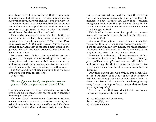store-house of evil lusts within us that tempts us to do our own will at all times – to seek our own gain, our own honour, our own pleasure, our own way etc.

If we are honest, we'll have to admit that even our best actions are corrupted by evil motives that arise from our corrupt lusts. Unless we hate this "flesh", we will never be able to follow the Lord.

This is why Jesus spoke so much about hating (or losing) our life. In fact, this phrase is repeated six times in the gospels (*Matthew 10:39*; *16:25*; *Mark 8:35*; *Luke 9:24*; *14:26*; *John 12:25*). This is the one saying of our Lord that is repeated most often in the gospels. Yet it is the least preached about and the least understood!

To hate our own life is to give up seeking our own rights and privileges, to stop seeking our own reputation, to forsake our own ambitions and interests, and to stop seeking our own way etc. We can be disciples of Jesus, only if we are willing to go this way.

The *third* condition of discipleship is that we must give up all our own possessions.

Jesus said,

*"No one of you can be My disciple who does not give up all his own possessions"* (Luke 14:33)*.*

Our possessions are what we possess as our own. To give them all up means that we no longer consider anything as our own.

We see an illustration of this in the life of Abraham. Isaac was his own son – his possession. One day God asked him to offer Isaac as a sacrifice. And Abraham laid Isaac on the altar and was ready to slay him. But God intervened and told him that the sacrifice was not necessary, because he had proved his willingness to obey (*Genesis 22*). After that, Abraham recognised that even though he had Isaac in his house, he no longer possessed him as his own. Isaac now belonged to God.

This is what it means to give up all our possessions. All that we have must be laid on the altar and given up to God.

God may allow us to use some of those things. But we cannot think of them as our own any more. Even if we are living in our own house, we must consider the house as God's; and that He has allowed us to stay in it rent-free! This is true discipleship.

Have we done that with all our possessions? Our possessions include our bank-account, property, job, qualifications, gifts and talents, wife, children and everything else that we value on this earth. We have to lay them all on the altar if we want to be true disciples.

Only then can we love God with all our heart. This is the '*pure heart*' that Jesus spoke of in *Matthew 5:8*. It's not enough to have a clean conscience. A clean conscience only means that we have given up every known *sin*. A pure heart means that we have given up *everything*!

And so we see that true discipleship involves a radical change of attitude towards:

- (a) *our relatives and loved ones;*
- (b) *our self-life; and*
- (c) *our possessions.*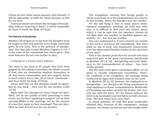Unless we face these issues squarely and honestly, it will be impossible to fulfil the whole purpose of God for our lives.

Unless preachers proclaim this message of discipleship, without "watering it down", it will be impossible for them to build the Body of Christ.

# **The Pathway of Discipleship**

*Matthew 28:20* goes on to say that the disciples must be taught to obey and practise every single command given by our Lord. This is the pathway of discipleship. One has only to read *Matthew chapters 5, 6 & 7* to see some of the commands that Jesus gave – that most believers do not even bother to obey.

# A disciple is a *learner* and a *follower*.

The need in our land is for people who have been gripped by the calling to proclaim the whole counsel of God, who are themselves obedient themselves to all that Jesus commanded, and who eagerly desire to teach others too to obey all of Jesus' commands – and thus build the body of Christ.

Jesus said that all His disciples would be identified by one mark – their love for one another (*John 13:35*).

Mark that! The disciples of Jesus Christ are identified, not by the quality of their preaching or their music, nor by their "speaking in tongues" nor by their carrying Bibles to the meetings, nor by the amount of noise they make in their meetings!! They are identified by their fervent love for one another.

The evangelistic meeting that brings people to Christ must lead on to the establishment of a church in that locality, where the disciples love one another.

Yet the sad thing is that in many places where repeated evangelistic meetings are held year after year, it is difficult to find even one church about which it can be said that the members therein do not fight with one another or backbite against one another, etc., but love one another.

One can understand it, if new converts are unable to live such a victorious life immediately. But what shall we say if strife and immaturity characterise even the elders and Christian leaders in the churches of our land?

This is the clearest proof that the second and most important part of the great commission (mentioned in *Matthew 28:19, 20*) – discipleship and total obedience to the commandments of Jesus – has been totally ignored.

The first part of the great commission (*Mark 16:15*) alone is usually emphasised everywhere. There, the emphasis is on evangelism, the message being confirmed by signs and wonders done by the Lord.

In *Matthew 28:19, 20*, however, the emphasis is on discipleship – the disciple's life being manifested by total obedience to Jesus' commandments. Multitudes of Christians are taken up with the former, but very, very few with the latter. Yet the former without the latter is as incomplete and worthless as half a human body. But how many have seen this?

In Jesus' ministry, we read that great multitudes followed Him, because of His evangelistic, healing ministry. He always turned around and taught them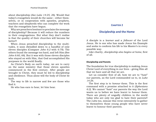about discipleship (*See Luke 14:25, 26*). Would that today's evangelists would do the same – either themselves, or in cooperation with apostles, prophets, teachers and shepherds who can complete the work that the evangelists have begun.

Why are preachers hesitant to proclaim the message of discipleship? Because it will reduce the numbers in their congregations. But what they don't realise is that the quality of their churches will become far better!!

When Jesus preached discipleship to the multitudes, it soon dwindled down to a handful of only eleven disciples (Compare *John 6:2* with *6:70*). The others found the message too hard, and left Him (See *John 6:60, 66*). But it was with those eleven disciples who stayed on with Him, that God accomplished His purposes in the world finally.

As Christ's Body on earth today, we are to carry on the same ministry that those eleven apostles commenced in the first century. After people are brought to Christ, they must be led to discipleship and obedience. Thus alone will the body of Christ be built.

The way to life is narrow and few are those who find it.

He who has ears to hear, let him hear.

# <span id="page-10-0"></span>**[Chapter 2](#page-2-1)**

# **[Discipleship and the Home](#page-2-1)**

A disciple is a *learner* and a *follower* of the Lord Jesus. He is one who has made Jesus his Example and seeks to conform his life to his Master's in every possible way.

Like charity, *discipleship also begins at home*, first of all.

### **Discipleship and Parents**

The foundation for true discipleship is making Jesus Christ Lord of everything in our lives – giving Him all that we have and all that we are.

Let us consider first of all, how we are to "*hate*" our parents, as the Lord commanded us to, in *Luke 14:26*.

The first step is to *honour* them. This is the first command with a promise attached to it (*Ephesians 6:2*). We cannot "*hate*" our parents the way the Lord wants us to before we have learnt to *honour* them. There are plenty of ungodly children in the world today who are only too glad to hate their parents!! The cults too, misuse this verse extensively to gather to themselves those young people who have never learnt to honour their parents.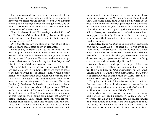The example of Jesus is what every disciple of His must follow. If we do that, we will never go astray. If however we interpret the sayings of our Lord *without looking at His example*, then we *will* go astray, as so many Christians have done. Our Lord has told us to "*learn from Him*" (*Matthew 11:29*).

How did Jesus "*hate*" His earthly mother? First of all, He *honoured* Joseph and Mary, by submitting to their authority, as long as He was in their home in Nazareth (*Luke 2:51*).

Only two things are mentioned in the Bible about the 30 years that Jesus spent in Nazareth.

**First of all**, in *Hebrews 4:15*, we are told that He was tempted as we are and never sinned. From that, we learn that He must have faced many temptations during those 30 years at Nazareth – the same temptations that anyone faces during the first 30 years of his life – from childhood to adulthood.

*Mark 6:3* tells us that Jesus had at least 4 brothers and 2 sisters in his home. So there were at least 9 members living in His home – and it was a poor home. (We understand that, when we compare *Luke 2:24* with *Leviticus 12:8*, and discover that Mary was too poor to bring even a lamb as an offering to the Lord). So Jesus obviously did not have a private bedroom to retreat to, when things became difficult in the house. *John 7:5* also tells us that His brothers did not believe in Him. They were obviously jealous of this One in their home who never got angry or acted selfishly. They must have all "ganged-up" against Him many a time and teased Him and irritated Him. Anyone who has lived in a large family in a small house, with unconverted relatives will understand the problems that Jesus must have faced in Nazareth. *Yet He never sinned*. To add to all that, it is quite likely that Joseph died, when Jesus was in his teens or twenties (because we never read of Joseph during the years of Jesus' public ministry). Then the burden of supporting the 8-member family fell on Jesus, as the eldest son. He had to work hard to support that family. There must have been many temptations that Jesus faced in such situations. Yet He did not sin.

**Secondly**, Jesus "*continued in subjection to Joseph and Mary*" (*Luke 2:51*) – as long as He was living in their home – for 30 years. That would not have been easy – as all of us know from our own childhood days. How often in our childhood days, when we wanted to do something, our parents asked us to do something else that we did not naturally like to do!

We can therefore hold up the example of Jesus to all our children. Fathers are commanded to bring up their children in "*the instruction of the Lord*" (*Ephesians 6:4*). What is "*the instruction of the Lord*"? It is primarily the example that the Lord Himself set for children during His years in Nazareth.

If any boy or girl will follow the example of the Lord that we have looked at in the above two areas, he too will grow in wisdom and in favour with God – as it is written about Jesus Himself (*Luke 2:52*).

Even when we are grown up and married, we must still honour our aged parents. In *Genesis 9:21–27*, we read that Noah's son Ham saw his father drunk and lying naked in a tent. Ham was a grown man at that time, for he was a married man even before the flood came. Ham went and told his brothers about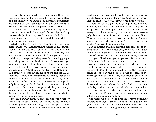this and thus disgraced his father. What Ham said was true, but he dishonoured his father. And Ham and his family were cursed, as a result. Backbiters are cursed by God, *even when they speak the truth*! No backbiter can be a disciple of Jesus Christ.

Noah's other two sons – Shem and Japheth – however honoured their aged father, by walking backwards (so that they would not see their father's nakedness) and covering him. And they and their families were blessed.

What we learn from that example is that God blesses those who honour their parents and He curses those who despise their parents. That example has been placed right at the beginning of the Bible, as a warning and an example for all of us – young or old.

Although Joseph and Mary were God-fearing people (according to the standard of the old covenant), yet we must remember that they did not have victory over sin (which is a distinctively new covenant promise – see *Romans 6:14*). They did not have the Holy Spirit and could not come under grace as we can today. So they must have had arguments at home, lost their temper with each other and sinned in many other ways. (If you find it difficult to believe this, it is probably because you think that Mary was *immaculate*!!) Jesus must have seen Joseph and Mary sin many, many times, in that home of His in Nazareth. Yet He did not despise them. This is a major part of what it means to honour our parents.

*Proverbs 23:22* says, "*Don't despise your mother when she is old*". If you see some faults in your parents ("*their nakedness*"), don't despise them. Cover their weaknesses and never speak about those

weaknesses to anyone. In fact, that is the way we should treat all people, for we are told that wherever there is true love, it will "*cover a multitude of sins*."

If you are born-again, and your parents are not, and they ask you to do something contrary to the Scriptures, (for example, to worship an idol or to marry an unbeliever, etc.), you can tell them *respectfully* that you cannot do such things, because God's Word forbids you to do so. You certainly *must* take a stand for the Lord. But you don't have to do it *arrogantly*! You can do it *graciously*.

But in matters that don't involve disobedience to the Scriptures – children must obey their parents *when they are staying at home*. But once they have left their parents' home and set up their own home, they are no longer obliged to *obey* their parents. But they must still honour their parents and care for them.

We see this also in the example of Jesus – that His disciples must follow. After Jesus left home at the age of 30 and was baptized, one of the first incidents recorded in the gospels is the incident at the marriage-feast at Cana. Mary had already seen Jesus for 30 years as an obedient son who had solved many problems at home. And she knew that Jesus could do something even about the lack of wine there. She probably did not expect a miracle, for Jesus had never done a miracle thus far. But she had seen at home that her Son was wise and ingenious. So she asked Jesus to do something.

And there we see for the first time Jesus speaking sharply to Mary: "*Woman, what do I have to do with you?*" (*John 2:4*). He had now left His home and was therefore free from having to obey her thereafter.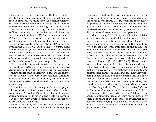This is what Jesus meant when He told His disciples to "*hate*" their parents. This is the balance we need to have too. We must obey our parents when we are living in their home and we must "hate" them in matters connected with following God's commands. It was when it came to doing the will of God and fulfilling the ministry that the Father had given Him that Jesus said to Mary, "*My time has not yet come*." (*John 2:4*). Once we leave our home and set up our own homes, we are no longer under our parents.

It is interesting to note that the *FIRST* command given in the Bible for all men is this: "*Therefore shall a man leave his father and his mother and cleave to his wife*" (*Genesis 2:24*). And this command is mentioned at a time when Adam did not even have a father or mother to leave!! It was obviously written for those who would marry subsequently.

Unfortunately, in most marriages in India, the husband does *NOT* obey this command of God. We can understand non-Christians being more attached to their parents than to their wives. But what shall we say about Christians who follow the non-Christian culture of India in this matter? They fail to manifest the type of married life that God wants to show to our country.

It is not a question of leaving one's parents physically primarily, but of being *emotionally* detached from them. A husband's first loyalty and inward attachment must be *to his wife* and not to his parents.

In the same way a wife is commanded to forget her father's house (*Psalm 45:10*).

We must certainly care for our parents when they are old and feeble. Jesus has given us an example here too, by making the provision of a home for his widowed mother with John, when He was dying on the cross (*John 19:26, 27*). But parents must never be permitted to come between a husband and wife at any time. Many Christians in India have been hindered from following the Lord, because of an inordinate, natural attachment to their parents.

In *Deuteronomy 33:8–11*, we are told why the tribe of Levi was chosen by God to be His priests. They were given this ministry as a reward for placing God above their parents, their brothers and their children. When Moses saw Israel worshipping the golden calf and asked who would stand with him on the Lord's side, only the tribe of Levi came forth and stood with Moses that day. The Levites were then told to go into the camp and slay even their own relatives who had practised idolatry (*Exodus 32:26* - ff). These Levites were the forerunners of the true disciples of Jesus.

The Law had been given by Moses to the Israelites just a few days earlier, in which they had been told to honour their parents (*Exodus 20*). But now they were being asked to take out their swords and kill their relatives. There we see the *two sides of truth*. When the Levites saw their relatives worshipping idols, they could have spared them and gone and slain someone else. But they didn't. "*They did not consider father or mother or brothers or sons…*" (*Deuteronomy 33:9*).

How many there are who have *not* followed the Lord's commands, because they were moved by seeing the tears of their mothers or by hearing their parents' words saying, "See how much we have done for you". Thus they render themselves unfit to be the disciples of Jesus.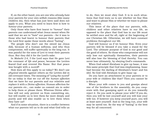If, on the other hand, you are one who *already hate* your parents for your own selfish reasons (like many children do), then what has just been said does not apply to you. What you need to learn first is how to *honour* your parents.

Only those who have first learnt to "*honour*" their parents can understand what Jesus meant when He said that we are to "*hate*" our parents – for it was to those who had learnt to honour their parents that the Lord first spoke those words about "hating".

The people who don't use the sword (as Jesus did), because of a human softness, and who thus compromise, will suffer spiritually in the long run. It was painful for the sons of Levi to treat their parents thus. But they did it for the Lord's sake.

In *Malachi 2:4, 5* the Lord says that He gave Levi the covenant of *life and peace*, because the Levites feared God and revered His Name. But that peace was bought with a *sword*!!

How does all this apply to us today? We don't use *physical* swords against others as the Levites did in old covenant times. The meaning of "*using the sword*" for us today is that we cut off the *human affection* that we have for our parents and our relatives and replace it with a *Divine affection*. Human affection for our parents etc., can make us commit sin in order to help them or please them. Whereas Divine affection will not only prevent us from committing sin, but will enable us to love them far more deeply and purely and will also enable us to love them when they hate us!!

And if in some situation, there is a conflict between what our parents tell us to do and what God tells us to do, then we must obey God. It is in such situations that God tests us to see whether we fear Him and want to please Him or whether we want to please our relatives.

This issue of the place that our parents, wife, children and other relatives have in our life, as opposed to the place that God has in our life must be settled once and for all, right at the beginning of our Christian life. Otherwise, we will have constant problems throughout our life.

God will honour us if we honour Him. Even your parents will be blessed if you take a stand for the Lord. The ultimate purpose of God is our good and the good of others. So those who compromise will not only lose out spiritually themselves, their parents will also lose the blessing of God thereby. You can never lose ultimately, by obeying God's commands.

When God asked Abraham to give up Isaac, it was this same principle that God was emphasising. Isaac had become the darling of Abraham's heart and his idol. So God told Abraham to give Isaac up.

Do you have an attachment to your parents or to your wife or children like that? Then you cannot be a disciple.

When your wife comes to you and gossips about one of the brothers in the assembly, do you cooperate with that gossiping spirit or do you inwardly reject it. Do you seek to please your wife? If you do, then you will be lost yourself and you will lose your wife too. If however you keep yourself pure, you will at least save yourself. And in the long run, your wife may be saved too. So the way of "hating" is the best way for all concerned.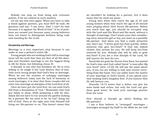Nobody can stop us from being new covenant priests, if we are radical in such matters.

Let me say this once again: When you have to take a stand against parents, *you must NOT be rude*. Be gracious and say, "I am sorry, Dad. I can't do that because it is against the Word of God." A lot of problems are caused just because many young believers have not learnt to distinguish between being rude and standing for the truth.

#### **Discipleship and Marriage**

Marriage is a very important step because it can make or mar a person's entire life.

Young people who are seeking God's will in marriage must tell the Lord that they are first of all His disciples and therefore marriage is not the *biggest* thing in life for them, but following Jesus *IS*.

A disciple is one who has forsaken all. He is even willing to be single if the Lord desires that of him. Only such young people find God's best in marriage. When we see the number of unhappy marriages among believers today and the lack of harmony in such marriages, it is clear that these couples did not enter into marriage as disciples of the Lord first of all.

Once we have put the Lord first, we can seek God's will from a foundation of "rest." Remember that God put Adam to sleep, while preparing a wife for him. Adam did not have to run around the garden looking for a partner! We too need to be "at rest" doing the will of God. Then at the right time God Himself will bring our life-partner to us. This doesn't mean that

we shouldn't be looking for a partner, but it does mean that we need not panic.

Young men when they reach the age of 25 and young women when they reach the age of 20 should start *praying* about their future life-partner. Before you reach that age, you should be occupied *only* with the Lord and His Word and His work, without a thought of marriage. Don't waste your time considering every attractive girl or boy you meet as a possible life-partner. And when you find a really attractive one, don't say, "I better grab her/him quickly, before someone else gets her/him!!" If God has indeed chosen that person for you, He will keep her/him reserved for you. Nobody else will be able to grab her/him!! If you are a true disciple of the Lord, He will reserve the best for you.

David did not grab the throne from Saul, but waited for God's time and God called David "*a man after My own heart*" (*Acts 13:22*). He will say the same about you, if you too are willing to wait and receive everything from His hand. You can safely leave the matter of your marriage in God's hands, if you spend your time seeking God's kingdom first. If you honour Him He will honour you.

*Proverbs 19:14* states that a father can give his sons lands and riches, but only the Lord can give them good wives. So seek your marriage partner from the Lord.

How should a disciple go about finding his life-partner?

I am a firm believer in "*arranged*" *marriages* – marriages arranged *by God*!! In the Bible we are told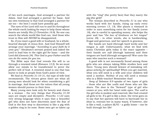of two such marriages. God arranged a partner for Adam. And God arranged a partner for Isaac. And my own testimony is that God arranged a partner for me too – the best I could have possibly got.

The eyes of the Lord still run to and fro throughout the whole earth looking for ways to help those whose hearts are totally His (*2 Chronicles 16:9*). No-one can search the whole world like God can. And those who trust in Him will *NEVER* be disappointed.

So, if you want a good wife or husband, be a wholehearted disciple of Jesus first. And God Himself will arrange your marriage. "*According to your faith be it unto you*." Abraham's servant prayed and asked the Lord to lead him to the right girl for Isaac – and the Lord did (*Genesis 24*). *This God is your Father and He can do the same for you too*.

The Bible says that God reveals His will to us through a renewed mind (*Romans 12:2*). So we must allow our minds to be transformed to prove the perfect will of God. A renewed mind is one that has learnt to look at people from God's point of view.

We find in *Proverbs 31:10–31*, the type of wife God recommends. The virtues given there are what all young men should look for when considering a girl in marriage. And those are the values that all young women should pursue in their lives.

Many young men look only for beauty and charm in a woman – the very things that *Proverbs 31:30* says are empty and deceptive. *Proverbs 11:22* uses very strong language when it says that a beautiful girl who does not have discretion (and the fear of God is the first step to discretion) is like a pig with a golden ring in its nose. Some men get so taken up

with the "ring" (the pretty face) that they marry the pig (the girl)!!

The woman described in *Proverbs 31* is one who works hard with her hands, rising up early every morning (*verses 13, 15*). She plants a vineyard in order to earn something extra for her family (*verse 16*), she is careful in spending money, she helps the poor and has "*the law of kindness on her tongue*" (*verse 26*) – in other words, she is hardworking, frugal and generous, and her speech is gracious.

Her hands are hard (through hard work) and her tongue is *soft*. Unfortunately, what we find with many Christian girls today is the exact opposite – their hands are *soft* (through laziness) and their tongues are hard (through arrogance)!! Woe unto the man who marries such a woman!!

A good wife is not necessarily found among those girls who are always taking Bible studies here and there. Young men should beware of mistaking *religious activity for spirituality*!! When you get married, what you will need is a wife and your children will need a mother. Neither of you will need a woman who is a Bible-teacher! Remember that!

*Song of Solomon 8:9* speaks of two types of girls – those who are like *walls* and those who are like *doors*. The *door* is the "forward" type of girl who comes at you, with her heart wide open. The *wall* is the girl who is modest and reserved, like God created all girls to be. If a girl is like a door, the verse goes on to say that her parents will have to barricade her in (that is, restrain her in many ways). If however, she is like a wall, a palace  $(KJV)$  – a godly home – can be built through her life!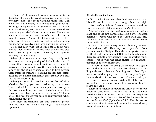*1 Peter 3:3–4* urges all women who want to be disciples of Jesus to avoid expensive clothing and jewellery, since the most valuable thing that God looks for in a woman, is "*a gentle and quiet spirit*". Although discipleship is not *primarily* seen in the way a person dresses, yet it is true that a woman's dress reveals a great deal about her character. The values she cherishes in her heart are often revealed in the way she dresses. A disciple of Jesus will not be slovenly or carelessly dressed. But neither will she waste her money on gaudy, expensive clothing or jewellery.

So young men who are looking for a godly wife, should look primarily for the fear of God coupled with a gentle, quiet spirit, diligence, kind speech, modesty and simplicity.

When girls consider marriage, they usually look for education, money and good looks in the man. It is true that a woman should not consider a man in marriage who does not have the means to support a family, for the Bible exhorts all men to first develop their business (means of earning an income), before building their home and family (*Proverbs 24:27*). But that is not everything!

What you as a girl, need to ensure first of all is whether the boy you are considering is a wholehearted disciple of Jesus, *whom you can look up to*. Can you make him your head – joyfully and not just because the Bible commands you to do so? This is one of the *first things* you need to ask yourself, when considering any boy.

For more information on this subject, please read my book "*Sex, Love & Marriage – The Christian Approach*".

#### **Discipleship and the Home**

In *Malachi 2:15*, we read that God made a man and his wife one in order that through them He might receive *godly* children. Anyone can raise children. But the disciple of Jesus raises *godly* children.

And for this, the very first requirement is that at least one of the two parents must be a wholehearted disciple of Jesus who loves the Lord with *ALL* his/ her heart. Half-hearted Christians will not be able to raise godly children.

A second important requirement is *unity* between husband and wife. This may not be possible if one partner is not a disciple. Then the other partner must battle it out alone against Satan, for his/her children. But if both are wholehearted, the work is much easier. This is why the right choice of a marriagepartner is so very important.

It is very difficult to bring up children in a godly way if the husband and wife are always quarrelling with each other and blaming each other. If you want to build a godly home, seek unity with your husband/wife at any cost – even if, as a result, you have to give up many of your rights. It will be worth it in the long run, when you see the way your children follow the Lord.

There is tremendous power in unity between two disciples. Jesus said in *Matthew 18:18–20* that when two disciples are united together on earth, they have authority to bind the activities of the Satanic forces in "*the heavenlies*" (*Ephesians 6:12*). That is how we can keep evil spirits away from our homes and away from influencing our children.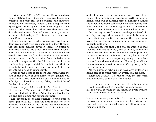In *Ephesians 5:22* to *6:9*, the Holy Spirit speaks of home relationships – between wives and husbands, children and parents, and servants and masters. Immediately thereafter, (*verse 10 onwards*) the Holy Spirit goes on to speak about wrestling with evil spirits in the heavenlies. What does that teach us? Just this – that Satan's attacks are primarily directed at home relationships. Here is where we must overcome Satan first of all.

Husbands and wives who quarrel with each other don't realise that they are opening the door (through the gap thus created between them) for Satan to enter their homes and attack their children. A rebellious child who answers his parents rudely may have caught the infection from his mother who speaks in a similar way to her husband or from his father who is rebellious against the Lord in some area. It is no use blaming the poor child for the infection that the parents brought into that home first of all!! It is the parents who need to repent first.

Unity in the home is far more important than the size or the beauty of your home or the gadgets you have therein. The glory of God can be manifested in a family that lives in a shack, if they are disciples of the Lord first of all.

A true disciple of Jesus will be free from the terrible disease of "*blaming others*" that Adam and Eve were infected with in Eden. Adam blamed Eve for his sin and Eve blamed the serpent for hers.

The kingdom of heaven belongs to "*the poor in spirit*" (*Matthew 5:3*) – and the first characteristic of one who is poor in spirit is that he has an awareness of his *own* failure and need first of all. A husband

and wife who are both poor in spirit will convert their home into a foretaste of heaven on earth. In such a home, each will be judging himself and not blaming the other. The Devil can never have any access into such a home. Can you imagine what tremendous blessing the children in such a home will inherit?

Let me say a word about "*working mothers*". In our day and age, this has unfortunately become a necessity in some cities, because of the high cost of living. But certain principles must be borne in mind by such mothers.

*Titus 2:5* tells us that God's will for women is that they be "workers at home", first of all. So, no mother should neglect her home responsibilities to pursue a profession outside the home. *The Lord, her husband and her children* must always be primary in her affection and devotion – *in that order*. Her job (if at all she has to take one) must be *Number Four* priority, after the above three.

Married women who do not have any children at home can go to work, without much of a problem.

There are usually *TWO* reasons why mothers with small children, go to work these days:

- 1. *For survival*, where the income of the husband is just not sufficient to meet the family's needs.
- 2. *For luxury*, because the husband and wife want to enjoy a higher standard of living.

If you can honestly say before God, that in your case the reason is *survival*, then you can be certain that God will give you special grace for all your family responsibilities.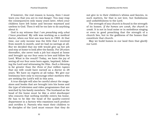If however, the real reason is *luxury*, then I must warn you that you are in real danger. You may reap the consequences only many years later, when your children have left home and become wayward and useless to God. Then it will be too late to do anything about it.

God is my witness that *I am preaching only what I have practised*. My wife was working as a medical doctor, when our first son was born in 1969. At that time, our only income was the little that I received from month to month, and we had no savings at all. But we decided that my wife would give up her job and stay at home to look after the family. For 28 years thereafter, she never took a job but stayed at home and brought up our four sons to love and follow the Lord. What is the result? Today, we have the joy of seeing all our four sons born-again, baptized, following the Lord and witnessing for Him. *Such a blessing* is far greater than the *three or four million rupees* that my wife could have earned as a doctor in 28 years. We have no regrets at all today. We give our testimony here only to encourage other mothers who are seeking the Lord's will in this area.

A true disciple will also be careful about the magazines and books that are brought into his home and the type of television and video programmes that are watched by his family members. The husband as the head of the home must be like *a strict doorkeeper* who ensures that nothing worldly enters his home. He has to be like the head of the quality-control department in a factory who examines each product and certifies it. Parents who want their children to be disciples of the Lord must ensure that they do not give in to their children's whims and fancies, in such matters, for that is not love, but foolishness and unfaithfulness to the Lord.

The strength of any church is found in the strength of its homes. *If the homes are weak, the church is weak*. It is not in loud noise or in melodious singing or even in good preaching that the strength of a church lies, but in the godliness of the homes that constitute that church.

May we build homes in our land then that glorify our Lord.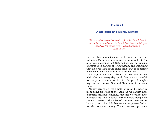#### <span id="page-20-0"></span>**[Chapter 3](#page-2-2)**

# **[Discipleship and Money Matters](#page-2-2)**

*"No servant can serve two masters; for either he will hate the one and love the other, or else he will hold to one and despise the other. You cannot serve God and Mammon."*  (Luke 16:13)

Here our Lord made it clear that the alternate master to God, is Mammon (money and material riches). The alternate master is not Satan, because no disciple of Jesus is in danger of loving Satan, and imagining that he loves God at the same time!! But that danger does exist as far as Mammon is concerned.

As long as we live in the world, we have to deal with Mammon every day. And if we are not careful, as disciples of Jesus, we face the danger of imagining that we can love God and Mammon at the same time.

Money can easily get a hold of us and hinder us from being disciples of the Lord. So we cannot have a neutral attitude to money, just like we cannot have a neutral attitude to Satan. Either we are disciples of the Lord Jesus or disciples of Mammon. We cannot be disciples of both! Either we aim to please God or we aim to make money. These two are opposites,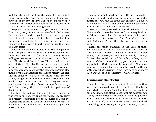just like the north and south poles of a magnet. If we are genuinely attracted to God, we will be drawn away from money. *To love God fully you must hate mammon*. You must either accept that statement as true or accuse Jesus of telling a lie!!

Despising money means that you do not care for it. You use it, but you are not *attached* to it. In heaven, the streets are made of gold. Here on earth, people put gold on their heads, but in heaven, gold will be underneath our feet. Heaven has been prepared for those who have learnt to put money under their feet on earth itself.

Jesus made radical statements to His disciples on many subjects. He said that if our right eye caused us to lust, we should "*pluck it out*". Thereby he was telling us how serious a matter it was to lust with our eyes. He also said that to follow Him we had to "*hate*" our relatives. Thereby He indicated how the main objections to our following Him would come from our family members. In exactly the same way, Jesus also made a radical statement here about money. He said that in order to love God one must "*hate*" money. Money clings to the hands of many Christians. This is why they cannot cling on to God. Very few believers however have taken these commands seriously. And that is why they never walk the pathway of discipleship.

The Lord did not call His disciples to be ascetics who live in jungles, giving up marriage, job, property and money. Christians are not disciples of John the Baptist but of Jesus. And Jesus worked for most of His life as a carpenter to earn money to support His earthly family.

Jesus was balanced in His attitude to earthly things. He could make an abundance of wine at a marriage feast, and He could also fast for 40 days. A true disciple too will know how to enjoy a good meal and also how to fast when necessary.

Love of money is something found inside all of us. The one who thinks he does not love money is either self-deceived or a liar, for every human being loves money. The Bible says that "*the love of money is a root of all sorts of evil*". Only the Lord can deliver us from it.

There are many examples in the Bible of those who started out well but later missed God's best by running after money. Lot went to Sodom to make money and destroyed his whole family thereby. Balaam destroyed himself through prophesying for money. Gehazi missed the opportunity to become a prophet of God, because he went after Naaman's money. Demas left Paul because he loved the things of this world (*2 Timothy 4:10*). There have been many such instances in the history of Christendom.

#### **Righteousness in Money Matters**

If one has been unrighteous in financial matters in his unconverted days, he cannot say after being converted, that since God has forgiven his past, he need not make any effort to set right his past wrongs. Money stolen must be returned as soon as possible after conversion. Debts must be repaid at the earliest too. Even if you have to skip a few meals and sell something unnecessary from your house, you must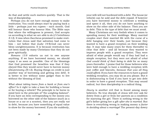do that and settle such matters quickly. That is the way of discipleship.

Perhaps you do not have enough money to make restitution. You could always start by paying back a little – perhaps just ten rupees – each month. God will honour those who honour Him. The Bible says that where the willingness is present, God accepts us according to what we are *able to do* (*2 Corinthians 8:12*). It was when Zaccheus promised to make restitution that Jesus said that salvation had come to him – not before that (*Luke 19:9*).God can never bless unrighteousness. It is because restitution has not been made by many Christians that they do not grow spiritually.

*Romans 13:8* exhorts us not to owe anyone anything. If we have borrowed money, we should repay it as soon as possible. One of the blessings that God promised the Israelites was that if they obeyed Him they would never have to borrow money (*Deuteronomy 28:12*). Buying things on credit is just another way of borrowing and getting into debt. It is better to live without some gadget than to live without the blessing of God.

*What about taking loans from a bank or from one's office?* Is it right to take a loan for building a house or for buying a vehicle? The principle to be borne in mind here is the principle of "*the weighing balance*". If you have an item corresponding to the money you borrowed on the other side of the balance (such as a house or a car or a scooter), then you are really *not* in debt, because you have something of equal value to show for the money borrowed. If you die suddenly,

your wife will not burdened with a debt. The house (or vehicle) can be sold and the debt repaid. If however you have borrowed money to celebrate a wedding and spent it all, then you do not have anything to show on the other side of the balance. Then you are in debt. This is the type of debt that we must avoid.

Many Christians are very foolish when it comes to spending money for their weddings. Many married couples start their married life with the curse of a debt hanging over their heads, just because they wanted to have a grand reception on their wedding day. It may take many years for them thereafter to clear that debt – and all because they wanted to impress people with a grand reception. They were afraid of what people would say if they had had a simple reception, but they were not afraid of *what God would think of their being in debt* for so many years thereafter. I praise God for those believers who were bold enough to have a wedding reception with just coffee and biscuits, *because that was all they could afford*. If you have the resources to have a grand wedding reception, you may do as you please. But it is dishonouring to God if you have to get into debt in order to have a grand reception. This may sound radical, but then discipleship is a radical thing.

*Dowry* is another evil that is found among many believers. No true disciple of Jesus will ever ask for dowry from a girl or from her parents as a condition for marrying the girl. There is nothing wrong in the girl's father giving her a gift *after she is married*. But there is everything wrong in making money *a factor in deciding about a marriage*! The present-day dowry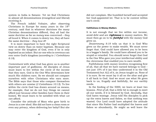system in India is Satanic. Yet we find Christians in almost all denominations (evangelical and liberal) receiving it.

The French infidel Voltaire, after observing Christians in Europe for many years in the 18<sup>th</sup> century, said that in whatever doctrines the many Christian denominations differed, they all had the same doctrine as far as *money* was concerned – *they all loved it*. When it comes to dowry too, they all have the same doctrine – *they love it*!!

It is more important to have the right Scriptural view on dowry than on water baptism. Because one may enter the kingdom of God, even if he is only baptized as an infant. But no-one who is covetous can ever enter God's kingdom (*according to 1 Corinthians 6:10*).

*Contentment* with what God has given us is another important part of godliness. All disciples of Jesus must learn to live within the circle of the income that they earn. God is the One Who determines how much His children earn. So we should not compare ourselves with other Christians who earn more. The Bible says that those who compare themselves with others are unwise (*2 Corinthians 10:12*). To live within the circle God has drawn around us means, for example, that we do not buy things we cannot afford just because other families have them in their homes. We must learn to be satisfied with what *we can* afford.

Consider the attitude of Mary who gave birth to Jesus in a cow-shed. She did not have a clean room or even any privacy, when delivering her baby!! But she did not complain. She humbled herself and accepted her God-appointed lot. That is to be content within one's circle.

**Faithfulness in Money Matters**

It is not enough that we live within our income, avoid debt and are *righteous* in money matters. We must then go on to be *faithful* with the money God gives us.

*Deuteronomy 8:18* tells us that it is God Who gives us the power to make wealth. We must never forget that. God could have allowed you to be born in a beggar's family. He could have allowed you to be stupid or retarded. You should never forget that God is the One Who gave you your intellectual ability and the cleverness that enabled you to earn wealth.

Faithfulness with money involves recognising first of all, that all that we have earned belongs to God – not just 10% of it (as they understood it in the Old Testament) but *ALL* of it, as Jesus taught us. None of it is ours. So we must lay it all on the altar and give it all back to God. And we must use what He gives back to us, frugally and faithfully, for our earthly needs.

In the feeding of the 5000, we learn at least two lessons. *First of all*, that a little bit is enough to meet all our needs, if it is blessed by God. *Secondly*, that God hates wastage. Jesus told His disciples to pick up the extra loaves and fishes, so that nothing was wasted. Our Lord could have adopted the attitude that since His Father had multiplied the loaves and fishes so abundantly, He might as well leave the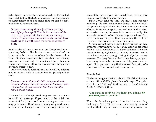extra lying there on the mountainside to be wasted. But He didn't do that. Just because God has blessed us abundantly does not mean that we can be careless with our expenditure.

Do you throw away things just because they are slightly damaged? That is the attitude of the rich. A godly man will try and repair damaged items. Do you think that spirituality doesn't have anything to do with such matters? It certainly does.

As disciples of Jesus, we must be disciplined in our spending habits. The husband as the head of the home must be the one who handles the finances in a home. It is his responsibility to see that unnecessary expenses are cut out. He must explain to his wife when they cannot afford to buy certain things that *she* may want to buy.

Only one who is faithful in a little will be faithful also in much. This is a fundamental principle with God:

*If we are not faithful with little things and with material things, God will not give us the true riches – the riches of revelation on his Word and the riches of His nature*.

If we want to make spiritual progress, we must learn to avoid all wastage. If you want to be a faithful servant of God, then don't waste money on unnecessary purchases. Don't waste money on grand meals or on a lavish lifestyle. Don't throw away things that can still be used. If you don't need them, at least give them away freely to poorer people.

*Luke 14:33* tells us that we must not *possess* anything. We can *have* many things, but we must not *possess* any of them. So, if something expensive of ours, is stolen or spoilt, we need not be disturbed or worried over it, because it is not ours really. We are only stewards of our Master's possessions. God gives us many things so that we can use them all for His glory! But we are only pilgrims here.

A man cannot have a pure heart unless he has given up everything to God. A *pure heart* is different from a clear conscience. A *clear conscience* comes through being *righteous* in money matters. But a pure heart comes through being *faithful* in money matters. You may have a clear conscience, yet your heart may be attached to some earthly possession or a job. Then you can't say that you love God with *ALL* your heart. Then your heart is not pure.

# **Giving to God**

The Israelites gave the Lord about 15% of their income – their tithes (10%) plus other offerings. The principle behind "tithing" is described in *Deuteronomy 14:22 & 23* (TLB) thus:

*"The purpose of tithing is to teach you always to put God first in your life".*

When the Israelites gathered in their harvest they had to give God 10% of it, as an acknowledgement of the fact that they had received everything from Him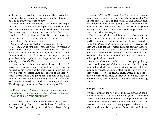and wanted to give Him first place in their lives. But gradually tithing became a ritual and a burden, even as it is to many believers today!

Under the new covenant, the same principle remains – of giving God first place above Mammon. But how *much* should we give to God now? The New Testament says that we must give as God has prospered us (*1 Corinthians 16:2*). But the important thing now is that whatever is given must be given cheerfully (*2 Corinthians 9:7*).

*Luke 6:38* tells us that if we give, it will be given to us too. But if you *give with the hope of receiving back again*, then you may be disappointed – for God looks at the motive in all giving and then you may receive nothing at all from Him. It is only those who give cheerfully *hoping for nothing in return* who will actually receive God's best.

I heard of a brother once, who although he didn't earn much, never seemed to lack anything that he needed in his home and he was never in debt either. When someone asked him the secret of his life, he said, "From what God gives me, I shovel some back to Him and He keeps shovelling back to me again. And I've discovered that God has the *bigger* shovel!!" We always get more from God than we give Him.

2 Corinthians 9:6 *says, "He who sows sparingly shall also reap sparingly and he who sows bountifully shall also reap bountifully".*

It is a well-known fact everywhere that I preach against tithing. But what people haven't realized is that I preach something more difficult than tithing – *giving 100% to God joyfully*. This is what Jesus preached. He told the Pharisees who were under *the Law* to give 10% to God (*Matthew 23:23*). But He told His disciples, who were going to be under the new covenant after Pentecost, to give "*everything*" (*Luke 14:33*). This is what I too have sought to practise and preach for the last 40 years.

If we honour God He will honour us. If we seek the kingdom of God and His righteousness first, all the earthly things that we need in this life will be added to us (*Matthew 6:33*). God is not foolish to give us all that we *want*, for He is wiser than us earthly fathers. But He is faithful to give us all that we *need*. There is a vast difference between what we *need* and what we *want*. The promise in *Philippians 4:19* is that God will supply all our *need*.

We must also learn to be wise in our giving. Many poor people give *faithfully, but not wisely*. They give money for what they think is God's work. But their money only enables some unfaithful Christian worker somewhere to live in grand style. Such poor people may be sincere but they are not wise. We must know where exactly our money is going and how it is being spent.

#### **Giving to the Poor**

We are commanded to "*do good to all men and especially to those of the household of faith*" (*Galatians 6:10*). We have a responsibility to help those who are *poor* among believers everywhere. But we have to be careful that we do not draw people to the church whose main aim is to get some financial benefit from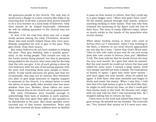the generous people in the church. The only way to avoid such a danger in a poor country like India is by ensuring first of all that a person first proves himself to be a true brother in a local body of believers. Only then should he be helped financially. Otherwise we will be adding parasites to the church and not disciples.

In *Acts 4:34*, we read that there was not a single needy person among the early Christians, because those who had wealth helped those who were poor. Nobody compelled the rich to give to the poor. They gave freely, from their hearts.

But many believers do not have wisdom in helping the poor. They give foolishly with a soulish generosity, to the wrong people. This results not only in the Lord's money being wasted, but also in parasites being added to the church, who come only for the help that the rich can give. A lot of such giving is done by rich believers with the aim of becoming popular with the poor and attaching those poor people to themselves. If only small amounts are given and that too occasionally, this may not be serious. But whenever you plan to give large amounts or regular support to someone in the church, it is always better to seek the advice of some godly elder brother who has more wisdom than you. Besides, those elders are more likely to know who in the church are in *greatest* need.

The early Christians were humble enough to acknowledge their lack of wisdom in such matters. That was why they gave their gifts to the apostles to be distributed to the poor. But those apostles never touched any of that money themselves. Peter and John who received all those millions were so faithful to pass on that money to others, that they could say to a poor beggar once, "*Silver and gold I have none*". All the money passed through their hands, without anything sticking to their hands. That was why they retained the anointing of the Spirit until the end of their lives. The story is vastly different today, where so much sticks to the hands of the preachers who receive money.

*What about lending money to those who want to borrow from us?* I remember, when I was working in the Navy, a believer in our local church approached me one day for a loan. I knew that God's Word said, "*Give to him who asks of you and do not turn away from him who wants to borrow from you*" (*Matthew 5:42*). The man told me that he would return the loan the very next month. So I gave him what he wanted. But the next month he could not return the loan and asked for some more. I earned a large salary, lived very simply and did not have a family. So I had plenty of money to spare. I gave him some more money – and once again the next month, when he asked me again. A little later, this man backslid and began to drink and waste his money. When I saw that, I told him that if he had money to give to the devil like that, he might as well return my loan, so that I could give that money back to the Lord. He became very angry with me and told me that I was harassing him. So I stopped asking him to return my loan.

I then went to the Lord and asked Him where I had gone wrong. He showed me my mistake. The Lord told me, "You treated that money as if it were your own.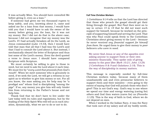It was actually Mine. You should have consulted Me before giving it, even as a loan."

If someone had given me ten thousand rupees to keep safely, and you, knowing about it, came and asked me for a loan from that money, I would have told you that I would have to ask the owner of the money before giving you the loan, for it was not my money. But I did not do that in the above case, because I did not recognise that my money was the Lord's. If I had actually forsaken all (to the Lord), as Jesus commanded (*Luke 14:33*), then I would have told that man that all that I had was the Lord's and that I had to consult the Lord about it. But instead, I mechanically obeyed the letter of Scripture and thus lost some of the Lord's money. Even the devil quoted a verse to Jesus once. I should have compared Scripture with Scripture.

We must certainly be willing to give to those in need, but we need to ask the Lord about it each time. We must live by "*every word that proceeds from God's mouth*". When we meet someone who is genuinely in need, if we seek the Lord, we will get a witness in our spirit as to whether to give him money or not. For all you know, the man asking you for help may be "a prodigal son" whom God is disciplining "among the pigs". If so, any money you give him will only *hinder* him from returning to the Father's house and not help him.

Thank God that we don't have to live under the Law today with its rules and regulations, but by the leading of the Holy Spirit Who will tell us in each situation, dynamically, what we are to do or not to do.

# **Full Time Christian Workers**

*1 Corinthians 9:14* tells us that the Lord has directed that those who preach the gospel should get their living through the gospel. But Paul then went on to say in *verses 15 to 18* that he did not want such support for himself, because he worked on the principle of supporting himself and serving the Lord. That was why Paul could speak freely to the Corinthian Christians about giving money to the Lord – *because he never received any financial support for himself from them*. He urged them to give their money to *poor believers who were in need*.

We never find Jesus or any of the apostles ever asking anyone to support them or their own ministry financially. They spoke only of giving money to the poor (See *Mark 10:21*; *John 13:29*; *2 Corinthians 8 & 9* and *Galatians 2:10*). This is the way of discipleship in money matters.

This message is especially needed by full-time Christian workers today, because many of them unashamedly ask and even pressurise believers to support them and their ministry – even going to the extent of saying that God will punish those who don't give!! This is not God's way. God's way is one where we spend our time and energy watering (caring for) *others* and God then waters (cares for) us (*Proverbs 11:25*). This is the way of faith in God, where we do not depend on men.

When I worked in the Indian Navy, it was the Navy that took care of my salary and all my bodily needs.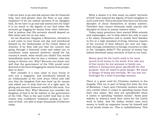I did not have to go and ask anyone else for financial help. Isn't God greater than the Navy or any other employer? If we are indeed servants of an Almighty God, do we have to go and ask mortal men for help? It is an insult to the dignity of our God when His servants go begging for money from other believers. God is jealous that His servants should depend on Him alone and not on any man.

Let me illustrate: Suppose a Westerner, dressed in a suit came to your house one day and introduced himself as *the Ambassador of the United States of America*. If he then told you that his country was going through a financial crisis and asked you to contribute some amount (however small) for his country's needs, what would you think? You would immediately know that he was a trickster, who was trying to deceive you. Why? Because you know very well that the government of the USA would never descend to the level of begging for money from people, door to door!

Now consider if a man came to your house or sent you a magazine, and introduced himself as an *Ambassador of the Lord Jesus Christ* and told you that the kingdom God was hard up for money and asked you to help God out of a tight spot, by giving any amount (however small) for His work. You would believe Him. Why? Because you consider the kingdom of God to be far inferior to the government of the USA. That is the sad truth!! And that is the reason why confidence tricksters posing as "servants of God", are able to dupe thousands of believers today.

What a shame it is that many so-called "servants of God" have lowered the dignity of God's kingdom to such a low level. This is because they have not become disciples of Jesus themselves in money matters. Therefore they cannot obviously make anyone else disciples of Jesus in money matters either.

Today many preachers have started Bible-schools and orphanages, not to help others but only to earn a fat salary themselves and to enable their families to live at a high standard of living. Glorious reports of the success of their labours are sent out regularly through newsletters to foreign countries to rake in the "almighty dollar"!! The pursuit of money has indeed destroyed many servants of God in our land.

Money given for the Lord's work is the most sacred of all money in the world. If we take any of that money for our personal or family use, without it having been given specifically for that purpose, then we stand in great danger. We stand in danger of being lost eternally. We can lose our birthright for a bowl of porridge (money).

There is a great need for Christian workers *to live frugally*. This too is part of being free from the love of Mammon. I have seen Christian workers who are very careful when it comes to spending money from their own salary. But they are spendthrifts when it comes to spending "mission money". Some poor widows in America send their mites for the Lord's work in India. And the Indian worker uses such money to build an expensive house for himself and to eat lavish meals etc. This is unfaithfulness. This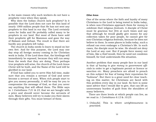is the main reason why such workers do not have a prophetic voice when they speak.

Why does the Indian church lack prophets? Is it possible that the Lord does not care for this land of nearly 1000 million people that He has not sent any prophets to this land in our day. The Lord certainly cares for India and He probably called many to be prophets in our land. But most of them have sold their prophetic gift for Mammon and gone the way of Balaam and Gehazi. The result is that there are hardly any prophets left today.

The church in India needs to learn to stand on her own feet. And for this purpose, the Lord may one day stop all foreign money coming in for Christian work in India. If the Lord does that, the hirelings will immediately be exposed, because they will run away from the work that they are doing. Then perhaps true prophets will arise, the church of the Lord Jesus Christ will be built, and the Name of the Lord will be glorified in our land.

If God has called you to serve Him full time, make sure that you remain a servant of God and never become a servant of men. When rich people start to give you money personally, it will be easy for you to compromise the message of God, so that you never say anything that will offend them. The Bible says in *1 Corinthians 7:21 & 23*, that we are bought with a price and should never become the servants of men. Many believers will try to make you their slaves through their gifts. You must beware of them.

# **Other Areas**

One of the areas where the faith and loyalty of many Christians to the Lord is being tested in India today, is when non-Christians approach them for *money to celebrate their religious festivals*. A disciple of Christ must be gracious but *firm* at such times and say that although he would gladly give money for any collection taken for poor people, he cannot give for non-Christian religious festivals, because he does not believe in them. In some places in India today, such a refusal can even endanger a Christian's life. In such cases, the disciple must be wise. He should not deny the Lord at any cost. But if people force money out of him, like a thief would, then he need not condemn himself, for God understands His situation.

Another problem that many people face in our land is that *of having to give money to government officials* in order to get a legitimate permit or licence or sanction etc. Many preachers are afraid to preach on this subject for fear of losing their reputation for "holiness". But there is a great need for clear teaching on this matter, for Christians are faced with this problem every day in our land. So here is some sane advice that I would like to give, that can lift an unnecessary burden of guilt from the shoulders of many believers.

There are three levels at which people can live, as we read in *1 Corinthians 6:12* & *10:23*:

1. *Unlawful*. This is where *unrighteousness* is practised.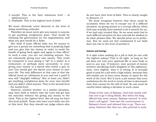- *2. Lawful*. This is the bare minimum level of *righteousness*.
- 3. *Profitable*. This is the highest level of *faith*.

We must obviously never descend to the level of doing something *unlawful*.

Therefore we must never give any money to anyone to get anything *unrighteous* done. That would be cheating the government (or the organisation), and what you give would be a *bribe*.

But what if some official asks you for money to give you a permit *for something that is perfectly legal* and you give him the money in order to avoid the hassle of going back again and again to that office? In such a case, you are *not* cheating anyone. You are voluntarily giving your own money. This could be compared to your giving a "*tip*" to a waiter in a restaurant; or perhaps more accurately, to your giving your money to a dacoit who sticks a gun at you! You would give the dacoit your money to save your life. The only difference in this case is that the official stuck an *ultimatum* at you and not a *gun*!! It was still "*daylight robbery*". But at least you didn't get anything *unrighteous* done for your own benefit and you didn't *cheat* anyone. That is the second level – the *lawful* level.

However, another brother, in a similar situation, may have *faith* to believe that the Lord will get him the sanction without his giving any money to the clerk. This is the *highest* level. *But all may not have this level of faith*. Those who have such faith can live at this level. But they should not judge others who do not have their level of faith. This is clearly taught in *Romans 14*.

We must recognise however that there could be occasions when we try to escape out of a difficult situation, by giving money to a corrupt official, when God may actually have wanted to do a miracle for us, if we had only trusted Him. So we must seek God in each difficult situation we face and ask for wisdom to do what pleases Him. We should press on to perfection. But we need not feel condemned if our faith does not rise to the level of another's.

#### **Salaries and Savings**

*Is it right when seeking for a job to look for one with the highest salary?* That is all right, so long as the job does not ruin your spiritual life or your body or soul in any way. If however, your pursuit of money involves sacrificing God's kingdom or His righteousness, even slightly, then it is wrong. It is actually good to look for a job with a high salary, because that will enable you to have more money to spare for the work of the Lord. But if such a job means that your usefulness for the Lord in terms of time is decreased, then that cannot be the will of God. So one must be careful when taking a decision in such cases.

Think of the case of Balaam. God had clearly told him not to go to King Balak. But when the king offered him more money, Balaam wanted "*to seek God's will again*". God saw the covetousness in Balaam's heart and allowed him to go. There are many believers like that too, who pretend to seek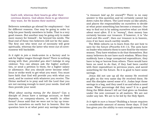God's will, whereas their hearts go after their covetous desires. God allows them to go wherever they want, for He knows their motives.

Believers nowadays go abroad for employment – but for different reasons. One may be going in order to help his poor family members in India. That is a very good reason. But another may be going only to make more money for himself – far beyond his needs. The final end of these two believers will not be the same. The first one who went out of necessity will grow spiritually, whereas the latter who went out of covetousness will backslide.

*Is it right to join a trade-union* in a factory and to ask for higher wages through them? There is nothing wrong with that, *provided you don't indulge in any violence*. You can always ask the higher authorities, or send a petition to them, for a higher salary or allowance. But you should never become rebellious or strike work to get what you want. You must have faith that God will provide you with what you need, and be content with whatever you receive. The Divine method is to pray and tell the Lord that you are not earning enough to meet your needs. God will then provide your need.

*What about saving money for the future?* Can a disciple of Jesus have a savings account, or fixed deposits, or company-shares, or wealth in other forms? Jesus said that we were not to lay up treasures for ourselves on earth but in heaven. But the question here is at what point any savings becomes

"*a treasure laid up for oneself*"? There is no easy answer to this question and we certainly cannot lay down rules for others. The Lord treats us like adults, and places the responsibility on ourselves to decide at what point something has become a treasure. One way to find out is by asking ourselves what *we think about most often*. If it is "*money*", then money has certainly become our treasure. If however, it is "*the Lord and His work*", then our treasure is in heaven, even if we have much earthly wealth.

The Bible exhorts us to learn from the ant how to save for the future (*Proverbs 6:6–11*). The ants have no leader who exhorts them to save food for the winter season. They have wisdom to do that themselves. But many believers do not have such wisdom. When they suddenly have a large unexpected expenditure, they have to beg or borrow from others. There would have been no need to do that, if they had been careful with their expenditure in previous years, and saved something for the future. So it is good to have some savings.

Jesus did not use up all the money He received as gifts on the very same day He received them. He and His disciples saved some of it. Judas kept those savings in a bag, and they used it as and when a need arose. What percentage did they save? It is a good thing the Bible doesn't tell us! God gives us freedom under the new covenant in all matters. We are not under any law. We are to be led by the Holy Spirit.

*Is it right to own a house?* Building a house requires a considerable amount of money these days. If God has given you the ability to earn enough money to be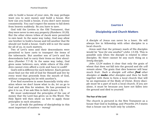able to build a house of your own, He may perhaps want you to save money and build a house. But how can you build a house, if you don't save money consistently. You can't expect the money to fall down from heaven suddenly. So you have to save.

God told the Levites in the Old Testament, that they were never to own any property (*Numbers 18:20*). But the other eleven tribes of Jacob were permitted to own land. In the same way today, God may allow one brother to build a house and tell another that He should not build a house. God's will is not the same for all of us, in such matters.

Two of Levi's sons and their descendants were permitted to have *carts* to transport the items of the tabernacle. But another son of Levi's and his descendants had to carry their items on their shoulders (*Number 7:7–9*). In the same way today, God gives some believers *cars*, while others of His children cannot even afford a cycle and *have to walk*!!

God's will is different for each believer. Each person must find out the will of God for Himself and live by every word that proceeds from the mouth of God, without comparing his lot with another's.

If we find ourselves in some financially tricky situation where we don't know what to do, let us go to God and ask Him for wisdom. He has promised to give it to us, if we ask Him in faith (*James 1:5*).

We must understand the principles of the use of money that the Lord has given us in His Word. The Holy Spirit will then show us how to apply those principles in each situation.

Let us all walk the pathway of discipleship in this most important of matters – *money*!

# <span id="page-32-0"></span>**[Chapter 4](#page-2-3)**

# **[Discipleship and Church Matters](#page-2-3)**

A disciple of Jesus can never be a loner. He will always live in fellowship with other disciples in a local church.

Jesus said that the primary mark of His disciples would be "*love for one another*" (*John 13:35*). This is possible only when the disciple is related to other disciples. So there cannot be any such thing as a *lonely* disciple.

*John 12:24* makes it clear that only the grain of wheat that does *not* fall into the ground and die *will remain alone*. The grain that dies however will bear much fruit: *Such a disciple will either find other disciples or make other disciples* and then be built together with them to form a local church that will be an expression of the Body of Christ. Every disciple must be a part of such a local church. If you are alone, it must be because you have not fallen into the ground and died to yourself.

#### **The Fear of the Lord**

The church is pictured in the New Testament as a house that God is building; and *Proverbs 24:3* states that a house can be built only by *wisdom*.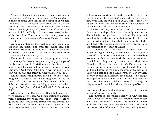A disciple does not become wise by *merely* studying the Scriptures. That only increases his *knowledge*. It is the fear of the Lord that is the *beginning* of wisdom (*Proverbs 9:10*). The fear of the Lord is the ABC of the Christian life. *James 3:17* states that "*the wisdom from above is first of all pure*." Therefore all who want to build the Body of Christ must learn the fear of the Lord first. They must be able to say to others: "*Come and I will teach you the fear of the Lord*" (*Psalm 34:10*).

We may emphasise doctrinal accuracy, emotional experiences, praise and worship, evangelism and whatever. But if the foundation of the fear of the Lord is absent underneath it all, everything that we've built will collapse one day.

The church cannot be built by programs, activities, money, human strategies or by any principle of the business world. Christian work that is done by such principles may look impressive to human eyes. But when God tests it by fire, it will be seen to be only wood, hay and straw (*1 Corinthians 3:11–15*).

The distinguishing feature of God's house is selfjudgment (*1 Peter 4:17*) – a self-judgment that is the result of living before God's face. Isaiah, Job and John all saw their own nothingness and sin when they saw God (See *Isaiah 6:5*; *Job 42:5, 6*; *Revelation 1:17*).

When Adam and Eve violated God's holiness, they were driven out of Eden. God then stationed cherubs with a flaming sword in front of the tree of life to guard it. This tree of Life represents the eternal life (the divine nature) that Jesus came to give us. The sword typifies the cross that has to slay our Self-life, before we can partake of the divine nature. It is true that the sword first fell on Jesus. But we were crucified with Him too (*Galatians 2:20*). And "*those who belong to Christ Jesus have crucified the flesh with its passions and desires*" (*Galatians 5:24*).

Like the cherubs, the elders in a church must wield this *sword* and proclaim that the only way to the divine life is through death to the flesh. The way back to fellowship with God is via that sword. It is because this sword is not wielded, that most churches today are filled with compromisers and have ceased to be expressions of the body of Christ.

In *Numbers 25:1*, we read of a time when the Israelites began "*to play the harlot with the daughters of Moab*". One of the Israelites even brought a Moabite woman into his tent (*verse 6*). But one priest saved Israel from being destroyed as a nation that day – Phinehas. He was so zealous for God's honour, that he took a spear immediately, went inside that tent and killed both the man and the woman (*verses 7, 8*). Then God stopped the plague (*verse 9*). But by then, 24,000 people had already been killed. The plague was spreading so rapidly that if it had not been for that one "*cherub who wielded a sword*" that day, the plague would have killed the whole camp of Israel.

Do you see how valuable it is to have "*a cherub with a sword*" in every church?

The plague is spreading rapidly in Christendom today, because there are not enough Phinehases who know how to use the sword. Far too many elders and preachers are men-pleasers who constantly urge us "*to love the Midianites*". The devil will give us a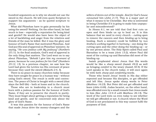hundred arguments as to why we should not use the sword in the church. He will even quote Scripture to support his arguments – as he quoted scripture to Jesus.

What did Phinehas have to gain personally by his using the sword? Nothing. On the other hand, he had much to lose – especially a reputation for being kind and gentle!! He would also have been the object of a lot of backbiting and anger from the relatives and friends of the man he killed. But it was the glory and honour of God's Name that motivated Phinehas. And God put His seal of approval on Phinehas' ministry, by saying, "*He was jealous with My jealousy*" (*Numbers 25:11*). In the final analysis, God's seal of approval is the only thing that matters. The Lord went on to say about Phinehas, "*Behold I give him my covenant of peace, because he was jealous for his God*" (*Numbers 25:12, 13*). In a previous chapter, we saw how the Lord had given the Levites too His covenant of peace because they used the sword (*Malachi 2:4, 5*).

There is no peace in many churches today because they have sought for peace in a human way – without using God's sword. The result is strife and contention. The peace of Christ is bought with a sword (that slays the Self-life) – both at home and in the church.

Those who are in leadership in a church must burn with a jealous passion for the honour of God's Name, if they are to preserve the church in purity. They must forget about getting a reputation for being kind and gentle, and be concerned only about the glory of God's Name.

It was this passion for the honour of God's Name that made Jesus drive the money-changers and the sellers of doves out of the temple. *Zeal for God's house consumed him* (*John 2:17*). This is a major part of what it means to be Christlike. But who is interested in being Christlike if it is going to make him unpopular and misunderstood?

In *Hosea 6:1*, we are told that God first cuts us open and then binds us up to heal us. It is this balance that we need in every church – *cutting open* to remove the cancers and then *binding up* to bring healing. Such a ministry could be fulfilled by *two brothers working together in harmony* – one doing the cutting open and the other doing the binding up – or by one person alone. The Holy Spirit called Paul and Barnabas to be a team (*Acts 13:2*), where Paul did most of the cutting-up and Barnabas did most of the binding-up.

Isaiah prophesied about Jesus that His words would be like a *sharp* sword (*Isaiah 49:2*) as well as bringing *comfort* to the weary (*Isaiah 50:4*). If the Lord speaks in the church today, it will once again be with both *sharp* and *comforting* words.

Those who heard Jesus' words in His day either repented and became His disciples, or got offended and left Him. Jesus spoke sharp words to Peter (*Matthew 16:23*). But Peter did not get offended and leave (*John 6:68*). Judas Iscariot, on the other hand, was offended even by a small remark that Jesus made to him (See *John 12:4–8 with Matthew 26:14*). The word of the Lord tests us even today to see whether we will get offended or not. A church where the Word of God is not proclaimed in this way cannot fulfil the purposes of God.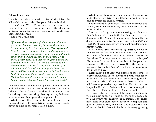#### **Fellowship and Unity**

Love is the primary mark of Jesus' disciples. So fellowship between the disciples of Jesus is vital.

In *Matthew 18:18–20*, we read of the power that results from such fellowship among the disciples of Jesus. A paraphrase of those verses would read something like this:

The Lord Jesus said,

*"If two or thee disciples of Mine are found in one place and have no disunity between them, but instead a unity like the symphony ("sumphoneo" (Greek) = agree) produced by a number of musical instruments playing together in harmony with each other, then I will be present in their midst. And then, if they ask My Father for anything, it will be granted to them. They will have authority to bind the workings of Satan in any place on earth; and whatever activities of Satan they bind here on earth, will be bound at their source in "the heavenlies" (from where these spirit-powers operate). Such believers will also have the power to deliver (loose) people who are bound by Satan on earth".*

The devil knows the amazing power there is in unity and fellowship among Jesus' disciples, but many believers do not know it. And so Satan's main aim has always been to bring disunity among believers so as to make them powerless against him.

What power there would be in a home, if the husband and wife were *one* in spirit! Satan would never be able to overcome such a home!

What power there would be in a church if even two of its elders were *one* in spirit! Satan would never be able to overcome such a church!

Satan triumphs over most Christian churches and homes, because such unity and fellowship is not found in them.

I am not talking now about casting out demons. Any believer who has faith for this, can cast out demons in the Name of Jesus, single-handedly, as Jesus said in *Mark 16:17*. In fact, we read in *Matthew 7:22, 23* of even unbelievers who cast out demons in Jesus' Name.

But to bind *the activities of Satan*, so as to release people from the problems Satan has created for them is far more difficult. A believer cannot do that alone. That requires an expression of the Body of Christ – and the minimum number of disciples that can express Christ's Body is *two*! Only the authority exercised by such a "*body*" can keep the powers of darkness at bay.

There must be at least two people at the centre of every church who are totally united with each other. Satan will always target such a core seeking to split it up and divide it. If he succeeds, then that church will become powerless against him. But if that core keeps itself united, Satan will be powerless against that church. This applies to *a home* as well.

In every church there will be mature people as well as new converts – just as there are babes as well as grown-up children in a family. The babes may fight with each other, backbite, complain and gossip, because they have not understood the way of peace. Such babes will be found in every growing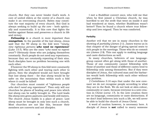church. But they can never hinder God's work. A core of united elders at the centre of a church can make it an overcoming church. Babes may constitute the vast majority of every church. But God is always seeking to build up *the core* – both spiritually and numerically. It is this core that fights the battles against Satan and preserves a church in life and victory.

*Fellowship in a church is more important than evangelism*. In the parable of the lost sheep, Jesus said that the 99 sheep in the fold were "*ninetynine righteous persons who need no repentance*" (*Luke 15:7*). Who are the ones "*who need no repentance*"? Obviously those who are judging themselves constantly. Such people do not need any repentance, because they are *constantly* repenting of their sins. Such disciples have no problem becoming one with each other.

If however the 99 sheep in this fold were constantly fighting with each other and tearing each other to pieces, then the shepherd would not have brought that lost sheep there – for that sheep would be far safer on the mountains than within such a fold where it could be killed!

Our churches must consist of "*righteous people who don't need any repentance*". Then only will our churches be places of healing and peace into which lost sheep can be safely brought in. The Lord leads His sheep into green pastures and beside still waters. The church Jesus builds is a place of peace. Lost sheep must be brought in only into such a church. Most churches are not like this, because their members are converts and not *disciples*.

I met a Buddhist convert once, who told me that when he first joined a Christian church, he was horrified to see the strife that went on inside it and had wondered at times, whether Buddhism wasn't better!! Then he found a church where true fellowship and love reigned. Then he was comforted.

#### **Partiality**

Another evil that we see in many churches is the showing of *partiality* (*James 2:1*). James warns us in that chapter of the danger of giving special seats to rich people in the meetings. Those who do so commit sin (*James 2:9*). This can apply to making language and caste distinctions as well.

In many churches, believers of one languagegroup cannot often get along with those of another. Those of one community cannot fellowship with those of another and those of different castes tend to fellowship only among themselves. But if they were disciples of Jesus, the cultured man and the barbarian would both fellowship with each other without any problem.

*2 Corinthians 5:16* says that under the new covenant we do not recognise people according to what they are in the flesh. We do not look at skin-colour, community or caste, because everyone is a new creation in Christ (*verse 17*). In the new creation there are no language, community or caste distinctions. If we don't lead believers into such a life, we will never be able to build the church of Jesus Christ.

A word of caution however, is necessary here. A disciple of Jesus is **not** called to marry someone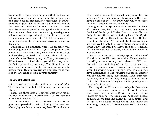from another caste *merely to prove* that he does not believe in caste-distinctions. Some have done that and ended up in incompatible marriages! Marriage requires a great deal of mutual adjustment and so the areas of difference between the two partners must be as few as possible. Being a disciple of Jesus does *not* mean that when considering marriage, one will **not** consider age, education, family background, economic status or caste etc. All of these may need to be considered before one can arrive at a mature decision.

Consider also a situation where, as an elder, you could be guilty of partiality. If you were prompted in your spirit, while preaching, to say something strong, and suddenly realised that your words would hurt some who were listening to you. Then, because you did not want to offend them, you did not say what the Spirit prompted you to say. You did not use the sword as God wanted you to, because you wanted to please men. This is favouritism and can make you lose the anointing of God in your ministry.

#### **The Gifts of the Holy Spirit**

Let us now consider the matter of *spiritual gifts*. These too are essential for building up the Body of Christ.

There are three lists of spiritual gifts given us in the New Testament (*1 Corinthians 12:8–10*, *Romans 12:6–8* & *Ephesians 4:11*).

In *1 Corinthians 12:12–26*, the exercise of spiritual gifts is compared with the functioning of the members of our physical body. A man may have life and yet be blind, deaf, dumb and paralysed. Many churches are like that. Their members are born again. But they have no gifts of the Holy Spirit with which to serve the Lord – and so they are powerless.

The gifts of the Spirit are what enable the Body of Christ to see, hear, talk and walk. Godliness is the life of the Body of Christ. But what can Christ's Body do for others, without the gifts of the Spirit. What would Jesus Himself have been like if He had no gifts of the Spirit? He would still have overcome sin and lived a holy life. But without the anointing of the Spirit, He would not have been able to preach the way He did, heal the sick, cast out demons or do any miracle.

Jesus' anointing with the Holy Spirit at the age of 30 did not make Him any holier than He was earlier. His  $31<sup>st</sup>$  year was not any holier than His  $29<sup>th</sup>$  year. But with the anointing of the Spirit, He received power to serve others. If Jesus had merely gone around showing people His holy life, He could not have accomplished His Father's purposes. Neither can the church today accomplish God's purposes by merely manifesting holy living to others. Jesus had both holiness and the gifts. His Body today must have both of these too.

The tragedy in Christendom today is that some groups emphasise holiness of life while others emphasise the gifts of the Spirit. But these are not "*either-or*" options. The Bible says, "*Let your clothes be white all the time* (live a holy life at all times) *and let not oil be lacking on your head* (live under the anointing constantly)" (*Ecclesiastes 10:8*). We need both.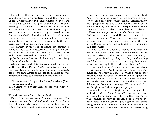The gifts of the Spirit do not make anyone spiritual. The Corinthian Christians had all the gifts of the Spirit (*1 Corinthians 1:7*). They exercised "*the word of wisdom*" (one of the gifts of the Spirit) in their meetings. In spite of that, there was not one wise (spiritual) man among them (*1 Corinthians 6:5*). A word of wisdom can come through a carnal person. But *wisdom itself* is found only in a spiritual person. One can receive a word of wisdom from God in a moment. But wisdom itself can come only through many years of taking up the cross.

We cannot *choose* our spiritual gift ourselves, because it is God Who determines what gift will best fit us for our ministry in Christ's Body. But we are told to seek earnestly for those gifts that will build up the Body – and especially for the gift of *prophecy* (*1 Corinthians 14:1, 12*).

When Jesus taught His disciples to ask the Father for the Holy Spirit (*Luke 11:13*), He illustrated the way they were to ask with a parable of a man who went to his neighbour's house to ask for food. There are two important points to be noticed in this parable:

- 1. The man was asking for food *not for himself but for someone else*.
- 2. *He kept on asking* until he received what he needed.

What do we learn from this parable?

*First of all*, that *we are not to seek the gifts of the Spirit for our own benefit, but for the benefit of others*. If only those who have sought for the baptism and the gifts of the Spirit had kept this one principle before them, they would have become far more spiritual. And there would have been far less exercise of counterfeit gifts in Christendom today. Unfortunately, most people are taught to seek for the power of the Holy Spirit only in order to get an experience for *themselves*, and not in order to be a blessing to others.

There are many around us who have needs that God wants to meet – and He wants to meet their needs through us. That's why He allows them to cross our path. He wants us to seek Him for the gifts of the Spirit that are needed to deliver these people and bless them.

A man came to Jesus' disciples once with his demon-possessed child. But the disciples could not help him. The man then went to Jesus and said, "*I went to your disciples for help but they could not help me*." Are these the words that our neighbours and friends are saying to the Lord today about us?

If we seek the Lord's blessing only for ourselves, we will remain dry. God waters only those who water (help) others (*Proverbs 11:25*). Perhaps some brother near you needs a word of wisdom to solve his problem. Another may be in need of a word of encouragement for his depressing situation. Yet another may need deliverance from some bondage. We must seek God for the gifts needed to help such people.

Every gift of the Spirit is given that we might bless and edify *others*. *Luke 4:18, 19* tells us the result of Jesus being anointed with the Holy Spirit. He was enabled thereby to preach good news to the poor, release the captives, give sight to the blind, bring freedom to the downtrodden and proclaim the favourable year of the Lord. Notice that everything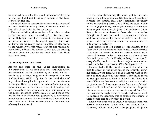mentioned here is for the benefit of *others*. The gifts of the Spirit did not bring any benefit to the Lord *Himself* in His life.

We must have a *concern* for others and a sense of our own *inability* to help them, if we are to seek for the gifts of the Spirit in the right way.

The *second* thing that we learn from this parable is that we must keep on asking God for the power of the Holy Spirit until we receive it. God tests us to see whether we are really *eager* to receive His power and whether we really *value* His gifts. He also waits to see whether we *feel really helpless* and unable to serve Him, without His power. Many give up praying too soon because they are self-confident – and thus fail these tests.

#### **The Meetings of the Local Church**

Among the gifts of the Spirit mentioned in *1 Corinthians 12*, we find that the *word-gifts* alone are exercised *in the meetings of the local church* – teaching, prophecy, tongues and interpretation (See *1 Corinthians 14:26* - ff). We do not read there of any miraculous gifts being exercised *in the churchmeetings*. There is a place in *evangelistic ministry*, even today, for the exercise of the gift of healing and for the casting out of demons, as a confirmation of the gospel message (*Mark 16:15–18*). And those who are called to be evangelists (especially to unreached areas) should expect God to give them these abilities. But these do not have to take place in the meetings of every local church.

In the church-meeting the main gift to be exercised is the gift of *prophecy*. Old Testament prophecy foretold the future. But New Testament prophecy refers to speaking forth God's Word in such a way as "*to edify (build up), exhort (challenge), and comfort (encourage)*" the church (*See 1 Corinthians 14:3*). Every church must have brothers who can exercise this gift. A church does not need apostles, teachers and evangelists locally (these ministries can be itinerant), but it does need *prophets* and *shepherds*, if it is to grow to maturity.

The prophets of old spoke of "*the burden of the Lord*" that they carried in their hearts. Aaron carried 12 stones (representing the 12 tribes of Israel) on a breastplate over his heart. This was a picture of how those who preach God's Word (prophesy) today should carry God's people in their hearts – just as a mother carries a baby in her womb (*See Philippians 1:7*).

Those gifted with the prophetic word should be the first to speak in the meetings of the church, bringing forth a word from God that is appropriate to the need of that church at that time. They must speak as the spokesmen of God (*1 Peter 4:11*). There is a vast difference between a religious sermon and a prophetic word. A sermon comes from a man's head as a result of intellectual labour and can impress his hearers. A prophecy however is a word from God that comes through a man's heart. It does not seek to impress the hearers, but to expose the secrets of their hearts and to *stir them to action*.

Those who respond to such a prophetic word will correct themselves. Those who are irritated by it however, will get angry with the prophet. Prophets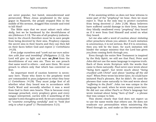are never popular, but hated, misunderstood and persecuted. When Jesus prophesied in the synagogue in Nazareth, the people stopped Him in the middle of His sermon, dragged Him outside and tried to kill Him!!

The Bible says that we must exhort each other *daily*, lest we be hardened by the deceitfulness of sin (*Hebrews 3:13*). The aim of all prophecy (exhortation) in the church therefore must be to save people from being deceived by their sins. Prophecy exposes the secret sins in their hearts and they can then fall on their faces before God and repent (*1 Corinthians 14:25*).

If we judge ourselves and "*work out our own salvation with fear and trembling*" (*Philippians 2:12*), the Lord will give us light and save *us first* from the deceitfulness of our own sin. Then we can preach that same word to others – and save them. We must preach to others only that which has convicted us first.

An important word of caution however is necessary here. Those who *listen* to the prophetic word are commanded to *pass judgment* on what they hear (*1 Corinthians 14:29*). They must judge first of all whether what they heard was in accordance with God's Word and secondly whether it was a word from God to their own hearts. This is because every message preached, every prophecy given and every tongue interpreted, carries with it something of the speaker's own thoughts as well. So we are commanded to "*examine everything carefully*" and to "*hold fast only to what is good*" (*1 Thessalonians 5:21*).

If the anointing within us does not bear witness to some part of the "*prophecy*" we hear, then we must reject it. That is the only way to protect ourselves from being deceived (*1 John 2:28*). Many believers have suffered untold damage in their lives, because they blindly swallowed every "*prophecy*" they heard as if it were from God Himself and acted on what they heard.

Let me also add a word of caution about *imitating* other preachers whom you admire. If such imitation is *unconscious*, it is not serious. But if it is *conscious*, then you will be the loser, for such imitation will hinder the unique ministry that the Lord has given you,from coming forth through you.

Even though the entire New Testament is inspired by the Holy Spirit, we still see that Paul, Peter and John did not use the same language to express truth. Each of them wrote Scripture with the words that came to them naturally. Paul never once wrote about "*being born again*", but wrote much about "*being crucified with Christ*" and about "*putting off the old man*". When Peter wrote his letter later, he could have imitated Paul's phrases. But he didn't. He used the phrases that came naturally to *him* and wrote about "*suffering in the flesh*". John too was unique in the language he used, when he wrote many years later. He did not use either Paul's or Peter's language but wrote instead about being "*born of God*" – a phrase that was unique to him.

This shows clearly that God does not expect us to use the same words that others use. He does not eradicate our personalities when ministering His Word through us, and make us like secretaries who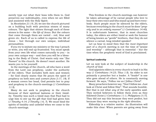merely type out what their boss tells them to. God preserves our individuality, even when we are filled and anointed with the Holy Spirit.

In *Revelation 21:19, 20*, we see the church pictured as a building built with precious stones of many colours. The light that shines through each of these stones is the same – *the life of Jesus*. But the *colours* that come through them are varied – red, blue and green etc. Each of us is called to express the life of Jesus – but through our own unique, individual personalities.

If you try to imitate my ministry or the way I preach or write, you will end up frustrated. You must speak from your own life what comes naturally to you – in your own unique way – and then you will be a blessing to the Body of Christ. God wants only one "*Zac Poonen*" in His church. He doesn't want another. He wants you to be yourself.

In the meetings of the church, all who have a word from the Lord can prophesy, under the authority of the elders. That includes both men and women – for God clearly states that He pours the spirit of prophecy on both men and *women* (*Acts 2:17, 18*). If a woman covers her head, God permits her to pray and prophesy in the church-meetings (*1 Corinthians 11:5*).

Many do not seek to prophesy in the church because of their spiritual laziness or their timidity. Timothy was such a timid man that Paul had to urge him to stir up the gift that God had given him (*1 Timothy 4:14*; *2 Timothy 1:6, 7*). We must bind the spirits of timidity and unbelief when we come to the church-meetings.

This freedom in the church-meetings can however be taken advantage of by carnal people who love to hear their own voice and who stand up and bore everybody. Such people must be silenced by the elders, because everything in the church must be done "*properly and in an orderly manner*" (*1 Corinthians 14:40*). It is unfortunate however, that in most churches today, the elders are either timid or seek the honour of being known as "*gentle*" brothers, that they do not silence a carnal, long-winded speaker!

Let us bear in mind then that the *most important* part of a church meeting is not the time of "praise and worship" – although that is essential – but the time when the prophetic word of God is proclaimed.

#### **Spiritual Leadership**

Let us now look at the subject of *leadership in the church of God*.

God appoints elders in every church to lead it in His way (*1 Corinthians 14:23*; *Titus 1:5*). An elder is not primarily a preacher but a leader. A "*leader*" is one who goes ahead of others. He is constantly moving forward. He says, "*Follow me as I follow Christ*".

Many preachers however say, "Don't follow me. Just look at Christ and follow Him". That sounds humble. But that is not what *any* of the early apostles said. They invited believers to follow them even as they followed Christ (*1 Corinthians 11:1*; *Philippians 3:17*). They did not say this because they were *perfect*, but because they were *moving in the right direction*.

Eldership is a relative matter. An illustration will make this clear: When parents are going away from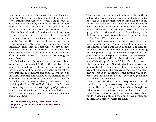their home for a while, they may ask their eldest son to be the "elder" in their home and to take all decisions during their absence – even if he is only 10 years old. He is certainly not mature. But he is more mature than the 7-year old and the 4-year old! Once his parents return, he is no longer the elder.

That is how eldership functions in a church too. A young brother can be an elder in a church, if he happens to be the most mature brother in that church. As the others in the church grow, he too grows up along with them. But if he stops growing spiritually, then someone else will one day become the elder brother in that church – the one who has gone ahead of him. So eldership is not a title or an office in God's house, but being mature enough to lead others.

Such leaders are the ones that we must submit to and obey (*Hebrews 13:17*). In the parable of the man who rented out his farm to tenants, we notice that the owner did not come personally to collect the rent, but sent his servants (*Matthew 21:34*). Even so the Lord appoints His delegated authorities in the church to represent Him. Jesus told His apostles that when people received them, they were actually receiving the Lord Himself (*Matthew 10:40*). I am not referring now to the vast majority of priests and preachers and pastors in Christendom today, but *only to those whom you yourself recognise as genuine servants of God*.

# *In the church of God, authority is not imposed from above but accepted from beneath.*

That means that you need submit only to those elders whom you respect. If you cannot acknowledge an elder as a godly man, you do *not* have to submit to him. However, in such a case it is best for you to leave that church and find another where you can find a godly elder. Unfortunately, there are not many godly elders in the world today. But where you do find one, you must honour him and appreciate him (*1 Timothy 5:17*; *1 Thessalonians 5:12*).

Once you do recognise someone as your elder, you must submit to him. The purpose of submission in the church is the same as in a home: Children are protected from innumerable dangers by submitting to their parents. A godly elder will keep watch over your soul, like a shepherd watches over his sheep.

A true elder should know the spiritual state of each one of his sheep (*Proverbs 27:23*). If an elder carries his flock on his heart, God will give him discernment, supernaturally if necessary, about the condition of each of his sheep. The messages that such an elder brings forth in the meetings of the church will be the very word that his sheep need – even though he may be unaware of their need.

This then is the primary requirement in all shepherds – they must carry their flock on their hearts. There are many brothers who although not elders,nevertheless have a care and a concern for their fellow-believers. Such brothers are true shepherds in God's sight, and the sheep have confidence in them and come to them for help.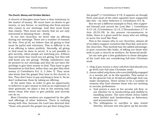#### **The Church, Money and Christian Workers**

A church of disciples must have a clear testimony in the matter of money. We must have no desire to get money, or any favour, or anything else from anyone who comes to our meetings. And they must know that clearly. They must see clearly that we are only interested in blessing them – *freely*.

In our own churches, we never take an offering during our meetings. There are a number of reasons for this. *First of all*, we believe that all giving to God must be joyful and voluntary. This is difficult to do if an offering is taken publicly. *Secondly*, all giving to God must be done in secret. It is not possible to give secretly, when people are watching you. (Others may not know *how much* you are giving, but they will still know you are giving). *Thirdly*, unbelievers may be present in our meetings and they do not have the privilege to give their money to God. They have to give themselves to God first, before they can give Him their money (*2 Corinthians 8:4, 5*; *3 John 7*). They must also know that the gospel they hear in the church, is free. They don't have to pay anything to hear it. So we don't embarrass them by taking an offering.

At the same time, in order to give an opportunity to believers to give money to God as an expression of their gratitude, we place a box in the meeting hall, where those who want to give joyfully and secretly can do so.

Most Christian workers are supported by the gifts and offerings of other believers. There is nothing wrong with this, because the Lord has directed that "*those who preach the gospel can get their living from*  *the gospel*" (*1 Corinthians 9:14*). It appears as though Peter and most of the other apostles were supported like this – by other believers (*1 Corinthians 9:5, 6*).

But we see a different example in Paul, who *supported himself and served the Lord* (See *1 Corinthians 9:15–18*; *2 Corinthians 12:14*; *2 Thessalonians 3:7–9*; *Acts 20:33–35*). In the *present* circumstances in India, there is a great need for many who are willing to serve the Lord like Paul.

This is the reason why in our churches, almost all of us elders support ourselves like Paul did, and serve the churches. This method has the added advantage, in poor countries like India, of sifting out those who seek to join a church as workers, for financial profit.

Let me now give a few guidelines to those disciples of the Lord who are considering full-time Christian work.

- 1. *Only if you receive a clear call from God* should you go forth into full-time Christian work.
- 2. Jesus called *only those who were faithfully engaged in a secular job*, to be His apostles. This seems to be the general rule in Scripture,although God can make exceptions. There seems to be a number of reasons why God chooses those who are working in secular professions:
	- a. God proves a man in his secular job first, to see whether he is *hardworking* and *faithful* in handling money. The ones whom Jesus called were faithful and hardworking as fishermen and accountants etc.
	- b. The willingness to *sacrifice* is also tested thereby, because one who gives up his secular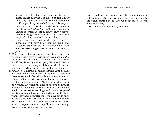job to serve the Lord full-time has to pay a price, unlike one who had no job to give up. By this test, a person can also know whether his "*call*" is genuinely from God or not. It is easy for those who have nothing to give up to imagine that they are "*called by God*"!! Many are doing Christian work in India today only because they did not get any other job. It is therefore a *profession* for them and not a *calling*.

- c. Only those who have worked in a secular profession will have the necessary *experience* to teach practical truths to other Christians who are struggling to be faithful in their secular jobs.
- 3. When God calls someone to full-time work, He would already have *equipped him with some gift* of the Spirit for the task to which He is calling him. So, if God is really calling you, He would already have borne witness to your labours (with fruit that lasts), even while you are in secular employment.
- 4. Finally, you should consider leaving your secular job *only when the pressure of the Lord's work has become so much* that there is *not enough time* for you to do it along with your secular job. You should not become like the many "full-time workers" who do *not* actually work full time at all, but sit around doing nothing most of the time and then visit a few homes on some evenings and have a couple of meetings a week. Most of them did more for the Lord when they had a secular job! The devil finds such idle full-time workers to be a fertile field to work in. And they fall into all types of sin – gossiping, adultery etc., – just because they did not have enough work to be occupied with every day.

God is looking for disciples and churches today who will demonstrate the principles of His kingdom to the world around them. May we respond to His call wholeheartedly.

*He who has ears to hear, let him hear.*